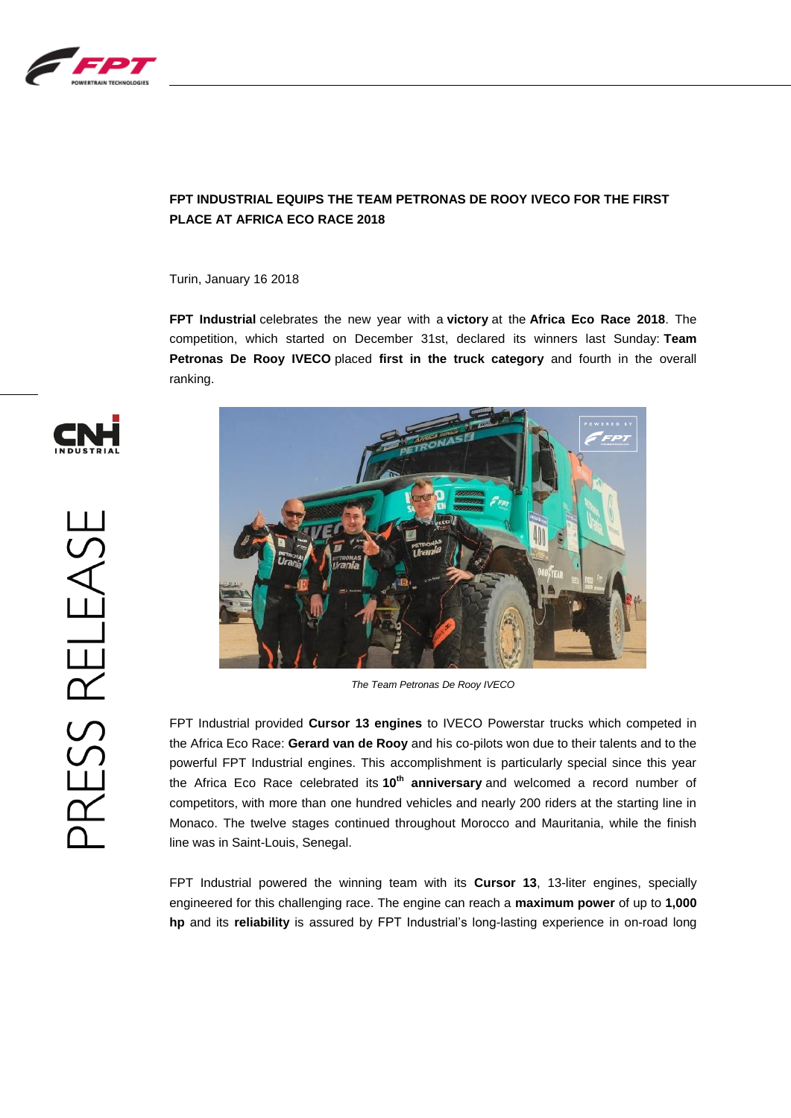

## **FPT INDUSTRIAL EQUIPS THE TEAM PETRONAS DE ROOY IVECO FOR THE FIRST PLACE AT AFRICA ECO RACE 2018**

Turin, January 16 2018

**FPT Industrial** celebrates the new year with a **victory** at the **Africa Eco Race 2018**. The competition, which started on December 31st, declared its winners last Sunday: **Team Petronas De Rooy IVECO** placed **first in the truck category** and fourth in the overall ranking.



*The Team Petronas De Rooy IVECO*

FPT Industrial provided **Cursor 13 engines** to IVECO Powerstar trucks which competed in the Africa Eco Race: **Gerard van de Rooy** and his co-pilots won due to their talents and to the powerful FPT Industrial engines. This accomplishment is particularly special since this year the Africa Eco Race celebrated its **10th anniversary** and welcomed a record number of competitors, with more than one hundred vehicles and nearly 200 riders at the starting line in Monaco. The twelve stages continued throughout Morocco and Mauritania, while the finish line was in Saint-Louis, Senegal.

FPT Industrial powered the winning team with its **Cursor 13**, 13-liter engines, specially engineered for this challenging race. The engine can reach a **maximum power** of up to **1,000 hp** and its **reliability** is assured by FPT Industrial's long-lasting experience in on-road long